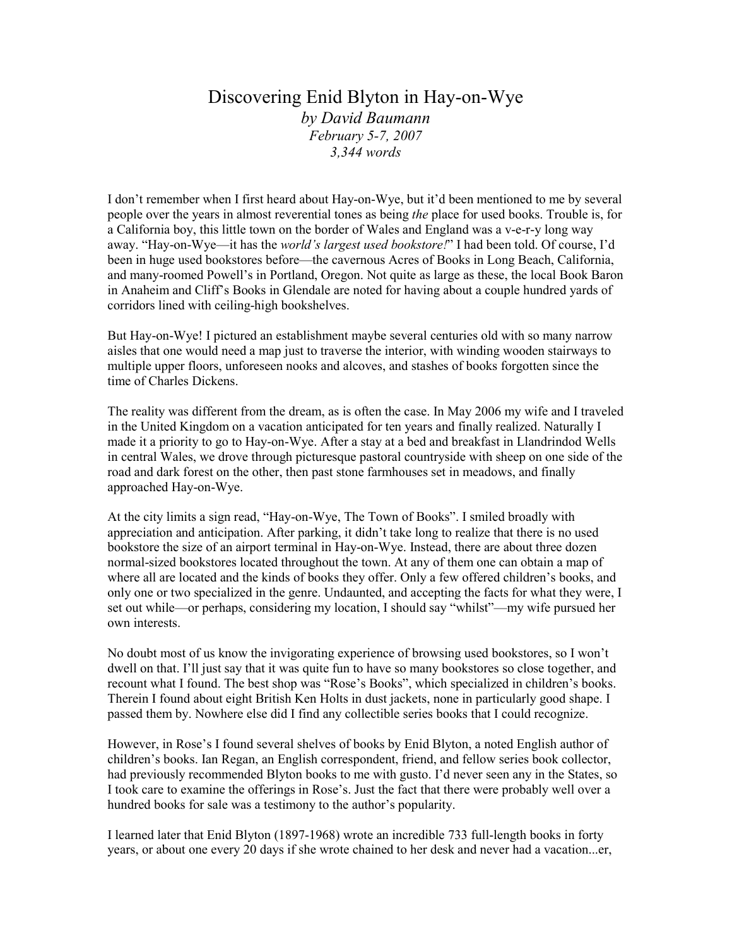# Discovering Enid Blyton in Hay-on-Wye by David Baumann February 5-7, 2007 3,344 words

I don't remember when I first heard about Hay-on-Wye, but it'd been mentioned to me by several people over the years in almost reverential tones as being the place for used books. Trouble is, for a California boy, this little town on the border of Wales and England was a v-e-r-y long way away. "Hay-on-Wye—it has the *world's largest used bookstore!*" I had been told. Of course, I'd been in huge used bookstores before—the cavernous Acres of Books in Long Beach, California, and many-roomed Powell's in Portland, Oregon. Not quite as large as these, the local Book Baron in Anaheim and Cliff's Books in Glendale are noted for having about a couple hundred yards of corridors lined with ceiling-high bookshelves.

But Hay-on-Wye! I pictured an establishment maybe several centuries old with so many narrow aisles that one would need a map just to traverse the interior, with winding wooden stairways to multiple upper floors, unforeseen nooks and alcoves, and stashes of books forgotten since the time of Charles Dickens.

The reality was different from the dream, as is often the case. In May 2006 my wife and I traveled in the United Kingdom on a vacation anticipated for ten years and finally realized. Naturally I made it a priority to go to Hay-on-Wye. After a stay at a bed and breakfast in Llandrindod Wells in central Wales, we drove through picturesque pastoral countryside with sheep on one side of the road and dark forest on the other, then past stone farmhouses set in meadows, and finally approached Hay-on-Wye.

At the city limits a sign read, "Hay-on-Wye, The Town of Books". I smiled broadly with appreciation and anticipation. After parking, it didn't take long to realize that there is no used bookstore the size of an airport terminal in Hay-on-Wye. Instead, there are about three dozen normal-sized bookstores located throughout the town. At any of them one can obtain a map of where all are located and the kinds of books they offer. Only a few offered children's books, and only one or two specialized in the genre. Undaunted, and accepting the facts for what they were, I set out while—or perhaps, considering my location, I should say "whilst"—my wife pursued her own interests.

No doubt most of us know the invigorating experience of browsing used bookstores, so I won't dwell on that. I'll just say that it was quite fun to have so many bookstores so close together, and recount what I found. The best shop was "Rose's Books", which specialized in children's books. Therein I found about eight British Ken Holts in dust jackets, none in particularly good shape. I passed them by. Nowhere else did I find any collectible series books that I could recognize.

However, in Rose's I found several shelves of books by Enid Blyton, a noted English author of children's books. Ian Regan, an English correspondent, friend, and fellow series book collector, had previously recommended Blyton books to me with gusto. I'd never seen any in the States, so I took care to examine the offerings in Rose's. Just the fact that there were probably well over a hundred books for sale was a testimony to the author's popularity.

I learned later that Enid Blyton (1897-1968) wrote an incredible 733 full-length books in forty years, or about one every 20 days if she wrote chained to her desk and never had a vacation...er,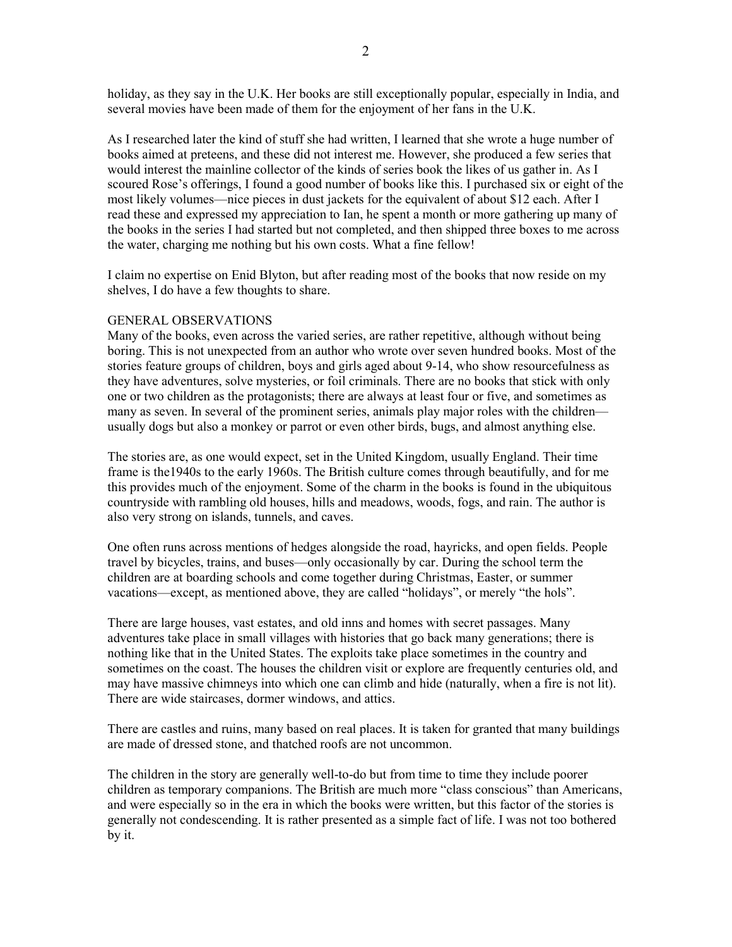holiday, as they say in the U.K. Her books are still exceptionally popular, especially in India, and several movies have been made of them for the enjoyment of her fans in the U.K.

As I researched later the kind of stuff she had written, I learned that she wrote a huge number of books aimed at preteens, and these did not interest me. However, she produced a few series that would interest the mainline collector of the kinds of series book the likes of us gather in. As I scoured Rose's offerings, I found a good number of books like this. I purchased six or eight of the most likely volumes—nice pieces in dust jackets for the equivalent of about \$12 each. After I read these and expressed my appreciation to Ian, he spent a month or more gathering up many of the books in the series I had started but not completed, and then shipped three boxes to me across the water, charging me nothing but his own costs. What a fine fellow!

I claim no expertise on Enid Blyton, but after reading most of the books that now reside on my shelves, I do have a few thoughts to share.

## GENERAL OBSERVATIONS

Many of the books, even across the varied series, are rather repetitive, although without being boring. This is not unexpected from an author who wrote over seven hundred books. Most of the stories feature groups of children, boys and girls aged about 9-14, who show resourcefulness as they have adventures, solve mysteries, or foil criminals. There are no books that stick with only one or two children as the protagonists; there are always at least four or five, and sometimes as many as seven. In several of the prominent series, animals play major roles with the children usually dogs but also a monkey or parrot or even other birds, bugs, and almost anything else.

The stories are, as one would expect, set in the United Kingdom, usually England. Their time frame is the1940s to the early 1960s. The British culture comes through beautifully, and for me this provides much of the enjoyment. Some of the charm in the books is found in the ubiquitous countryside with rambling old houses, hills and meadows, woods, fogs, and rain. The author is also very strong on islands, tunnels, and caves.

One often runs across mentions of hedges alongside the road, hayricks, and open fields. People travel by bicycles, trains, and buses—only occasionally by car. During the school term the children are at boarding schools and come together during Christmas, Easter, or summer vacations—except, as mentioned above, they are called "holidays", or merely "the hols".

There are large houses, vast estates, and old inns and homes with secret passages. Many adventures take place in small villages with histories that go back many generations; there is nothing like that in the United States. The exploits take place sometimes in the country and sometimes on the coast. The houses the children visit or explore are frequently centuries old, and may have massive chimneys into which one can climb and hide (naturally, when a fire is not lit). There are wide staircases, dormer windows, and attics.

There are castles and ruins, many based on real places. It is taken for granted that many buildings are made of dressed stone, and thatched roofs are not uncommon.

The children in the story are generally well-to-do but from time to time they include poorer children as temporary companions. The British are much more "class conscious" than Americans, and were especially so in the era in which the books were written, but this factor of the stories is generally not condescending. It is rather presented as a simple fact of life. I was not too bothered by it.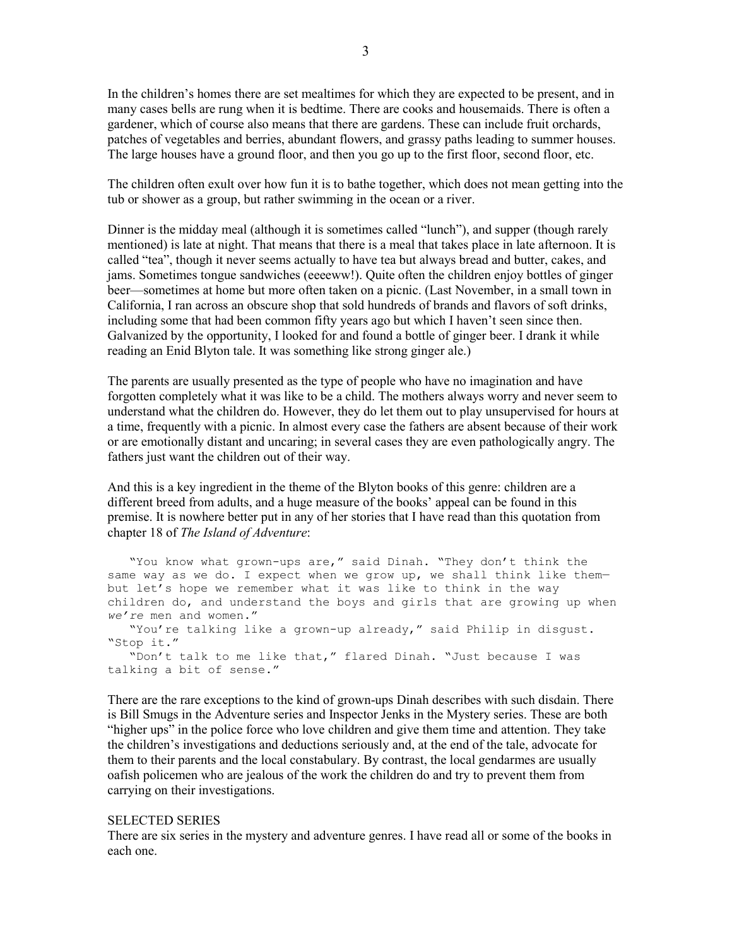In the children's homes there are set mealtimes for which they are expected to be present, and in many cases bells are rung when it is bedtime. There are cooks and housemaids. There is often a gardener, which of course also means that there are gardens. These can include fruit orchards, patches of vegetables and berries, abundant flowers, and grassy paths leading to summer houses. The large houses have a ground floor, and then you go up to the first floor, second floor, etc.

The children often exult over how fun it is to bathe together, which does not mean getting into the tub or shower as a group, but rather swimming in the ocean or a river.

Dinner is the midday meal (although it is sometimes called "lunch"), and supper (though rarely mentioned) is late at night. That means that there is a meal that takes place in late afternoon. It is called "tea", though it never seems actually to have tea but always bread and butter, cakes, and jams. Sometimes tongue sandwiches (eeeeww!). Quite often the children enjoy bottles of ginger beer—sometimes at home but more often taken on a picnic. (Last November, in a small town in California, I ran across an obscure shop that sold hundreds of brands and flavors of soft drinks, including some that had been common fifty years ago but which I haven't seen since then. Galvanized by the opportunity, I looked for and found a bottle of ginger beer. I drank it while reading an Enid Blyton tale. It was something like strong ginger ale.)

The parents are usually presented as the type of people who have no imagination and have forgotten completely what it was like to be a child. The mothers always worry and never seem to understand what the children do. However, they do let them out to play unsupervised for hours at a time, frequently with a picnic. In almost every case the fathers are absent because of their work or are emotionally distant and uncaring; in several cases they are even pathologically angry. The fathers just want the children out of their way.

And this is a key ingredient in the theme of the Blyton books of this genre: children are a different breed from adults, and a huge measure of the books' appeal can be found in this premise. It is nowhere better put in any of her stories that I have read than this quotation from chapter 18 of The Island of Adventure:

"You know what grown-ups are," said Dinah. "They don't think the same way as we do. I expect when we grow up, we shall think like thembut let's hope we remember what it was like to think in the way children do, and understand the boys and girls that are growing up when we're men and women." "You're talking like a grown-up already," said Philip in disgust. "Stop it." "Don't talk to me like that," flared Dinah. "Just because I was talking a bit of sense."

There are the rare exceptions to the kind of grown-ups Dinah describes with such disdain. There is Bill Smugs in the Adventure series and Inspector Jenks in the Mystery series. These are both "higher ups" in the police force who love children and give them time and attention. They take the children's investigations and deductions seriously and, at the end of the tale, advocate for them to their parents and the local constabulary. By contrast, the local gendarmes are usually oafish policemen who are jealous of the work the children do and try to prevent them from carrying on their investigations.

#### SELECTED SERIES

There are six series in the mystery and adventure genres. I have read all or some of the books in each one.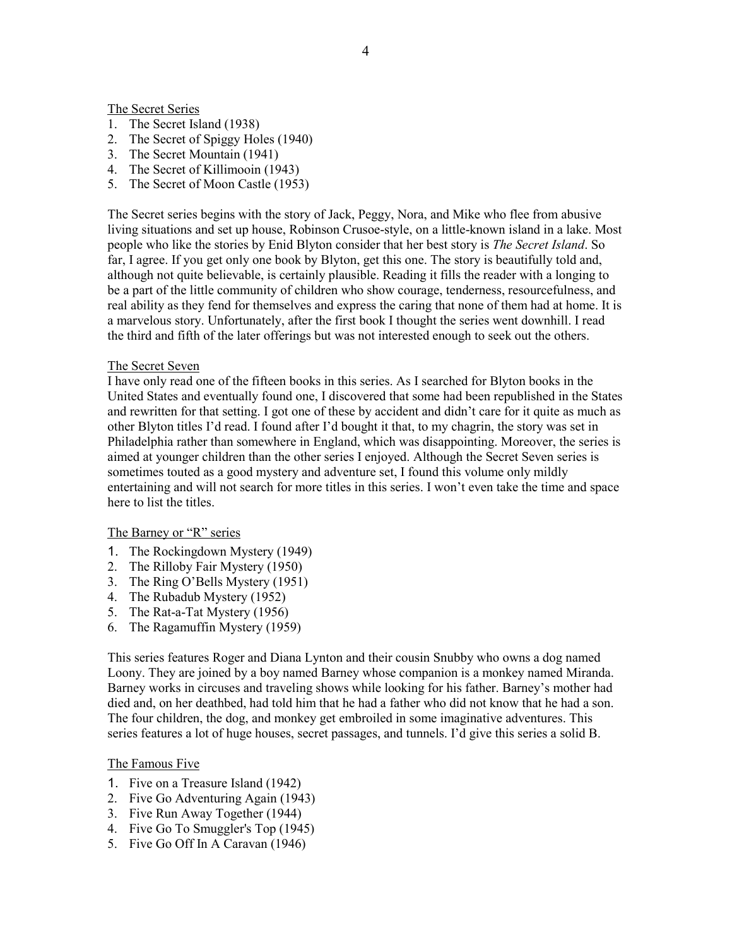The Secret Series

- 1. The Secret Island (1938)
- 2. The Secret of Spiggy Holes (1940)
- 3. The Secret Mountain (1941)
- 4. The Secret of Killimooin (1943)
- 5. The Secret of Moon Castle (1953)

The Secret series begins with the story of Jack, Peggy, Nora, and Mike who flee from abusive living situations and set up house, Robinson Crusoe-style, on a little-known island in a lake. Most people who like the stories by Enid Blyton consider that her best story is *The Secret Island*. So far, I agree. If you get only one book by Blyton, get this one. The story is beautifully told and, although not quite believable, is certainly plausible. Reading it fills the reader with a longing to be a part of the little community of children who show courage, tenderness, resourcefulness, and real ability as they fend for themselves and express the caring that none of them had at home. It is a marvelous story. Unfortunately, after the first book I thought the series went downhill. I read the third and fifth of the later offerings but was not interested enough to seek out the others.

## The Secret Seven

I have only read one of the fifteen books in this series. As I searched for Blyton books in the United States and eventually found one, I discovered that some had been republished in the States and rewritten for that setting. I got one of these by accident and didn't care for it quite as much as other Blyton titles I'd read. I found after I'd bought it that, to my chagrin, the story was set in Philadelphia rather than somewhere in England, which was disappointing. Moreover, the series is aimed at younger children than the other series I enjoyed. Although the Secret Seven series is sometimes touted as a good mystery and adventure set, I found this volume only mildly entertaining and will not search for more titles in this series. I won't even take the time and space here to list the titles.

## The Barney or "R" series

- 1. The Rockingdown Mystery (1949)
- 2. The Rilloby Fair Mystery (1950)
- 3. The Ring O'Bells Mystery (1951)
- 4. The Rubadub Mystery (1952)
- 5. The Rat-a-Tat Mystery (1956)
- 6. The Ragamuffin Mystery (1959)

This series features Roger and Diana Lynton and their cousin Snubby who owns a dog named Loony. They are joined by a boy named Barney whose companion is a monkey named Miranda. Barney works in circuses and traveling shows while looking for his father. Barney's mother had died and, on her deathbed, had told him that he had a father who did not know that he had a son. The four children, the dog, and monkey get embroiled in some imaginative adventures. This series features a lot of huge houses, secret passages, and tunnels. I'd give this series a solid B.

## The Famous Five

- 1. Five on a Treasure Island (1942)
- 2. Five Go Adventuring Again (1943)
- 3. Five Run Away Together (1944)
- 4. Five Go To Smuggler's Top (1945)
- 5. Five Go Off In A Caravan (1946)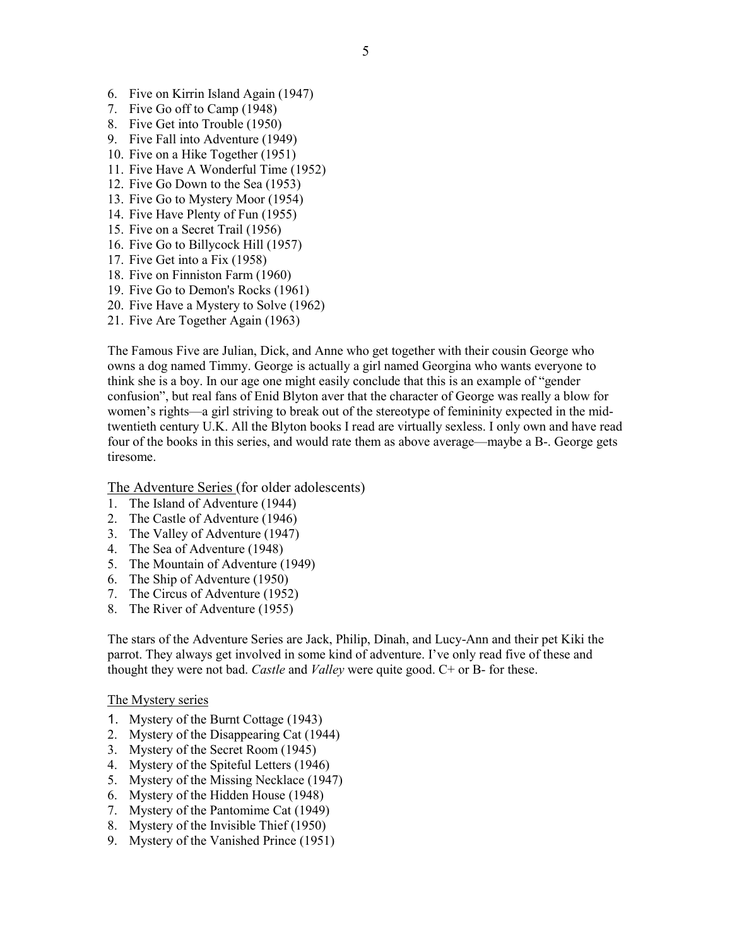- 6. Five on Kirrin Island Again (1947)
- 7. Five Go off to Camp (1948)
- 8. Five Get into Trouble (1950)
- 9. Five Fall into Adventure (1949)
- 10. Five on a Hike Together (1951)
- 11. Five Have A Wonderful Time (1952)
- 12. Five Go Down to the Sea (1953)
- 13. Five Go to Mystery Moor (1954)
- 14. Five Have Plenty of Fun (1955)
- 15. Five on a Secret Trail (1956)
- 16. Five Go to Billycock Hill (1957)
- 17. Five Get into a Fix (1958)
- 18. Five on Finniston Farm (1960)
- 19. Five Go to Demon's Rocks (1961)
- 20. Five Have a Mystery to Solve (1962)
- 21. Five Are Together Again (1963)

The Famous Five are Julian, Dick, and Anne who get together with their cousin George who owns a dog named Timmy. George is actually a girl named Georgina who wants everyone to think she is a boy. In our age one might easily conclude that this is an example of "gender confusion", but real fans of Enid Blyton aver that the character of George was really a blow for women's rights—a girl striving to break out of the stereotype of femininity expected in the midtwentieth century U.K. All the Blyton books I read are virtually sexless. I only own and have read four of the books in this series, and would rate them as above average—maybe a B-. George gets tiresome.

The Adventure Series (for older adolescents)

- 1. The Island of Adventure (1944)
- 2. The Castle of Adventure (1946)
- 3. The Valley of Adventure (1947)
- 4. The Sea of Adventure (1948)
- 5. The Mountain of Adventure (1949)
- 6. The Ship of Adventure (1950)
- 7. The Circus of Adventure (1952)
- 8. The River of Adventure (1955)

The stars of the Adventure Series are Jack, Philip, Dinah, and Lucy-Ann and their pet Kiki the parrot. They always get involved in some kind of adventure. I've only read five of these and thought they were not bad. Castle and Valley were quite good. C+ or B- for these.

## The Mystery series

- 1. Mystery of the Burnt Cottage (1943)
- 2. Mystery of the Disappearing Cat (1944)
- 3. Mystery of the Secret Room (1945)
- 4. Mystery of the Spiteful Letters (1946)
- 5. Mystery of the Missing Necklace (1947)
- 6. Mystery of the Hidden House (1948)
- 7. Mystery of the Pantomime Cat (1949)
- 8. Mystery of the Invisible Thief (1950)
- 9. Mystery of the Vanished Prince (1951)